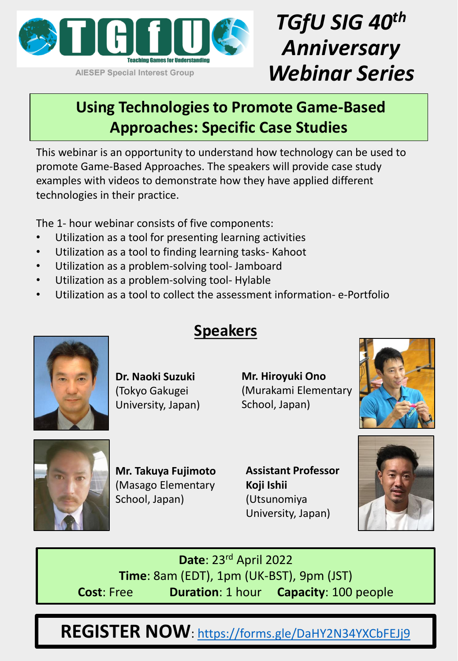

**AIESEP Special Interest Group** 

# *TGfU SIG 40th Anniversary Webinar Series*

#### **Using Technologies to Promote Game-Based Approaches: Specific Case Studies**

This webinar is an opportunity to understand how technology can be used to promote Game-Based Approaches. The speakers will provide case study examples with videos to demonstrate how they have applied different technologies in their practice.

The 1- hour webinar consists of five components:

- Utilization as a tool for presenting learning activities
- Utilization as a tool to finding learning tasks- Kahoot
- Utilization as a problem-solving tool- Jamboard
- Utilization as a problem-solving tool- Hylable
- Utilization as a tool to collect the assessment information- e-Portfolio



**Dr. Naoki Suzuki**  (Tokyo Gakugei University, Japan)

### **Speakers**

**Mr. Hiroyuki Ono** (Murakami Elementary School, Japan)





**Mr. Takuya Fujimoto**  (Masago Elementary School, Japan)

**Assistant Professor Koji Ishii**  (Utsunomiya University, Japan)



**Date**: 23rd April 2022 **Time**: 8am (EDT), 1pm (UK-BST), 9pm (JST) **Cost**: Free **Duration**: 1 hour **Capacity**: 100 people

**REGISTER NOW**:<https://forms.gle/DaHY2N34YXCbFEJj9>